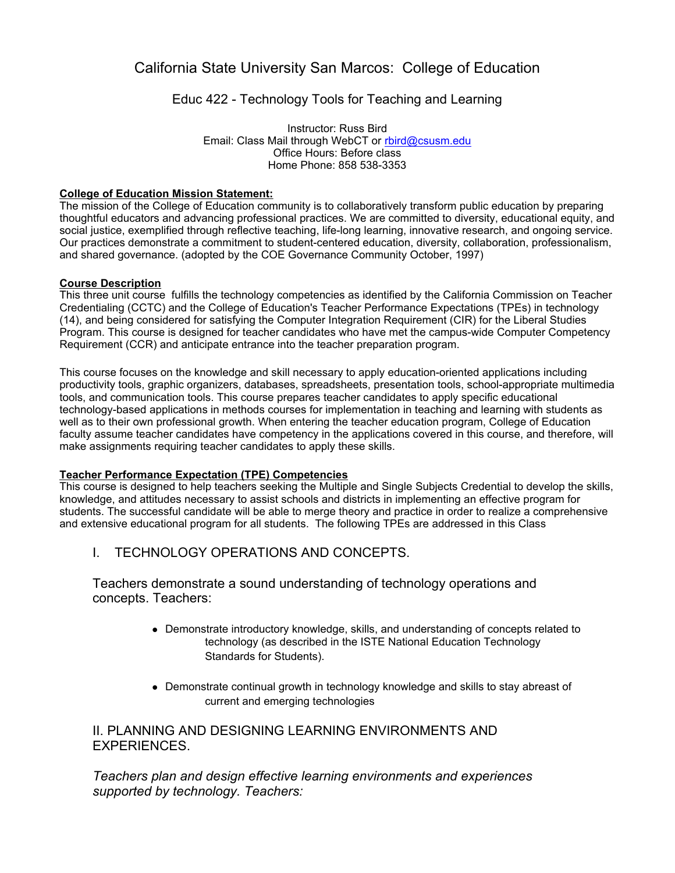## California State University San Marcos: College of Education

### Educ 422 - Technology Tools for Teaching and Learning

Instructor: Russ Bird Email: Class Mail through WebCT or rbird@csusm.edu Office Hours: Before class Home Phone: 858 538-3353

### **College of Education Mission Statement:**

The mission of the College of Education community is to collaboratively transform public education by preparing thoughtful educators and advancing professional practices. We are committed to diversity, educational equity, and social justice, exemplified through reflective teaching, life-long learning, innovative research, and ongoing service. Our practices demonstrate a commitment to student-centered education, diversity, collaboration, professionalism, and shared governance. (adopted by the COE Governance Community October, 1997)

### **Course Description**

This three unit course fulfills the technology competencies as identified by the California Commission on Teacher Credentialing (CCTC) and the College of Education's Teacher Performance Expectations (TPEs) in technology (14), and being considered for satisfying the Computer Integration Requirement (CIR) for the Liberal Studies Program. This course is designed for teacher candidates who have met the campus-wide Computer Competency Requirement (CCR) and anticipate entrance into the teacher preparation program.

This course focuses on the knowledge and skill necessary to apply education-oriented applications including productivity tools, graphic organizers, databases, spreadsheets, presentation tools, school-appropriate multimedia tools, and communication tools. This course prepares teacher candidates to apply specific educational technology-based applications in methods courses for implementation in teaching and learning with students as well as to their own professional growth. When entering the teacher education program, College of Education faculty assume teacher candidates have competency in the applications covered in this course, and therefore, will make assignments requiring teacher candidates to apply these skills.

### **Teacher Performance Expectation (TPE) Competencies**

This course is designed to help teachers seeking the Multiple and Single Subjects Credential to develop the skills, knowledge, and attitudes necessary to assist schools and districts in implementing an effective program for students. The successful candidate will be able to merge theory and practice in order to realize a comprehensive and extensive educational program for all students. The following TPEs are addressed in this Class

I. TECHNOLOGY OPERATIONS AND CONCEPTS.

Teachers demonstrate a sound understanding of technology operations and concepts. Teachers:

- Demonstrate introductory knowledge, skills, and understanding of concepts related to technology (as described in the ISTE National Education Technology Standards for Students).
- Demonstrate continual growth in technology knowledge and skills to stay abreast of current and emerging technologies

II. PLANNING AND DESIGNING LEARNING ENVIRONMENTS AND EXPERIENCES.

*Teachers plan and design effective learning environments and experiences supported by technology. Teachers:*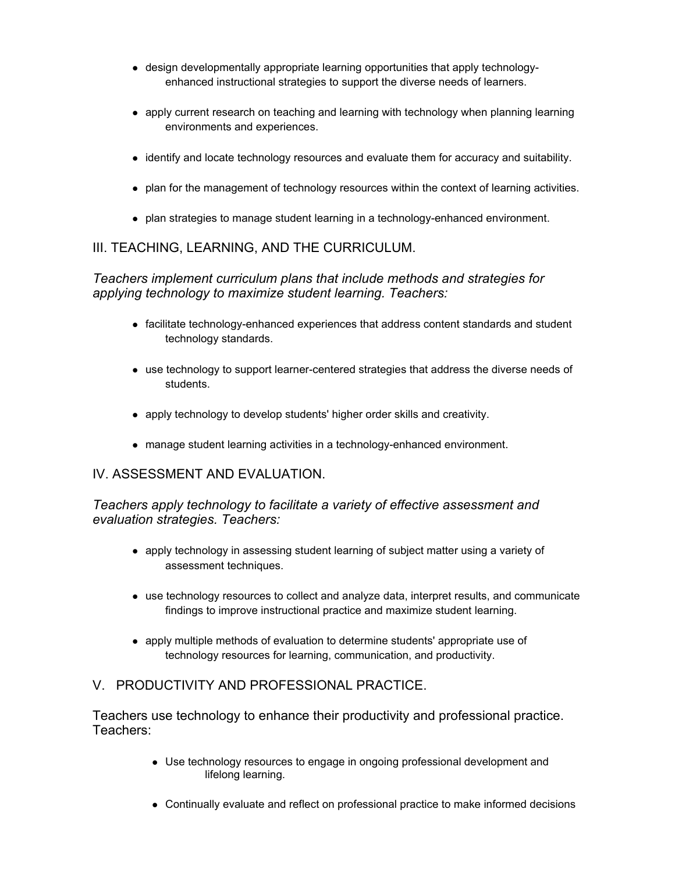- design developmentally appropriate learning opportunities that apply technologyenhanced instructional strategies to support the diverse needs of learners.
- apply current research on teaching and learning with technology when planning learning environments and experiences.
- identify and locate technology resources and evaluate them for accuracy and suitability.
- plan for the management of technology resources within the context of learning activities.
- plan strategies to manage student learning in a technology-enhanced environment.

### III. TEACHING, LEARNING, AND THE CURRICULUM.

### *Teachers implement curriculum plans that include methods and strategies for applying technology to maximize student learning. Teachers:*

- facilitate technology-enhanced experiences that address content standards and student technology standards.
- $\bullet$  use technology to support learner-centered strategies that address the diverse needs of students.
- apply technology to develop students' higher order skills and creativity.
- manage student learning activities in a technology-enhanced environment.

### IV. ASSESSMENT AND EVALUATION.

*Teachers apply technology to facilitate a variety of effective assessment and evaluation strategies. Teachers:*

- apply technology in assessing student learning of subject matter using a variety of assessment techniques.
- $\bullet$  use technology resources to collect and analyze data, interpret results, and communicate findings to improve instructional practice and maximize student learning.
- apply multiple methods of evaluation to determine students' appropriate use of technology resources for learning, communication, and productivity.

### V. PRODUCTIVITY AND PROFESSIONAL PRACTICE.

Teachers use technology to enhance their productivity and professional practice. Teachers:

- Use technology resources to engage in ongoing professional development and lifelong learning.
- Continually evaluate and reflect on professional practice to make informed decisions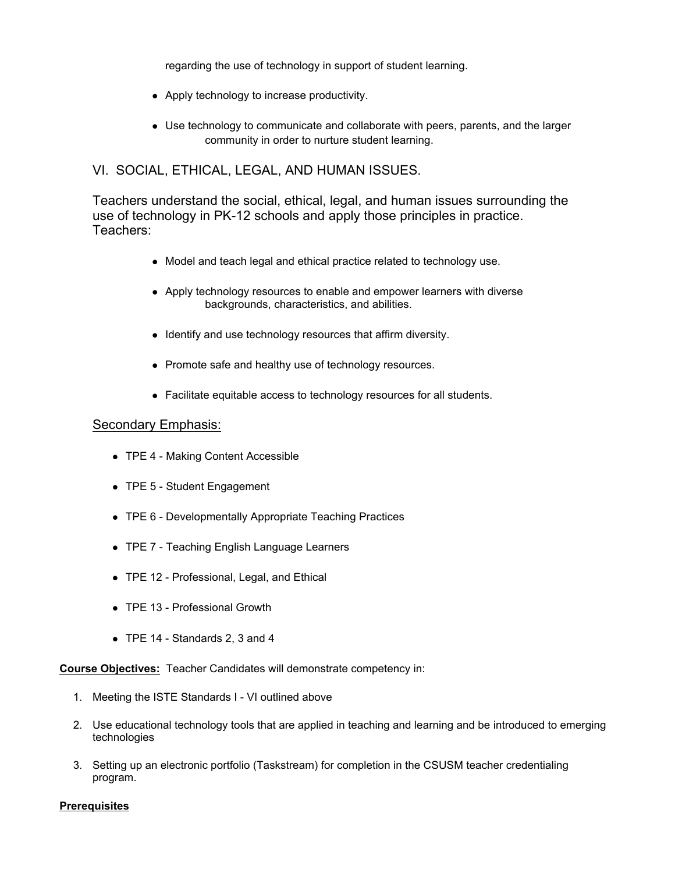regarding the use of technology in support of student learning.

- Apply technology to increase productivity.
- Use technology to communicate and collaborate with peers, parents, and the larger community in order to nurture student learning.

### VI. SOCIAL, ETHICAL, LEGAL, AND HUMAN ISSUES.

Teachers understand the social, ethical, legal, and human issues surrounding the use of technology in PK-12 schools and apply those principles in practice. Teachers:

- Model and teach legal and ethical practice related to technology use.
- Apply technology resources to enable and empower learners with diverse backgrounds, characteristics, and abilities.
- Identify and use technology resources that affirm diversity.
- Promote safe and healthy use of technology resources.
- Facilitate equitable access to technology resources for all students.

### Secondary Emphasis:

- TPE 4 Making Content Accessible
- TPE 5 Student Engagement
- TPE 6 Developmentally Appropriate Teaching Practices
- TPE 7 Teaching English Language Learners
- TPE 12 Professional, Legal, and Ethical
- TPE 13 Professional Growth
- $\bullet$  TPE 14 Standards 2, 3 and 4

**Course Objectives:** Teacher Candidates will demonstrate competency in:

- 1. Meeting the ISTE Standards I VI outlined above
- 2. Use educational technology tools that are applied in teaching and learning and be introduced to emerging technologies
- 3. Setting up an electronic portfolio (Taskstream) for completion in the CSUSM teacher credentialing program.

#### **Prerequisites**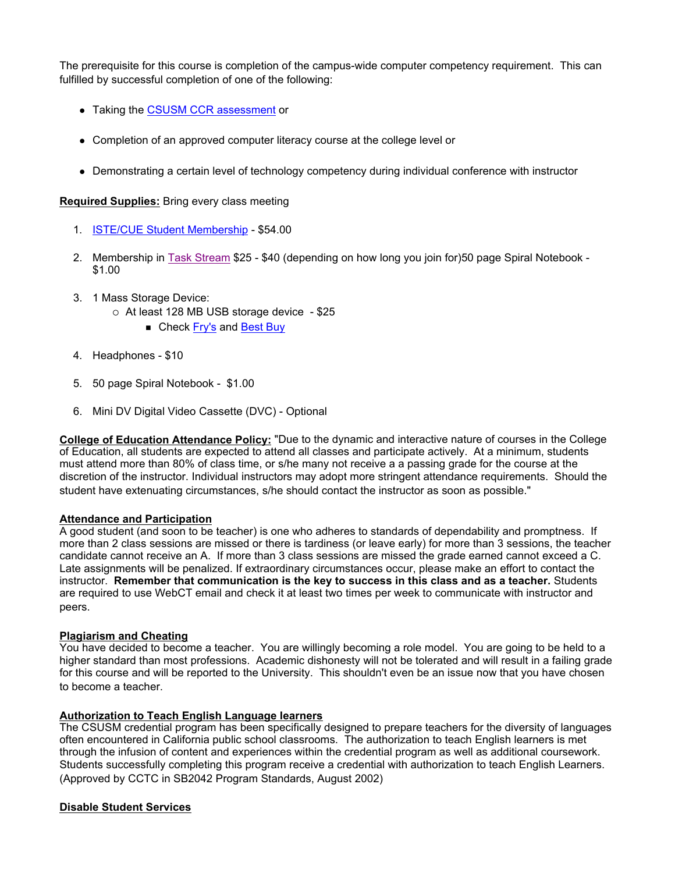The prerequisite for this course is completion of the campus-wide computer competency requirement. This can fulfilled by successful completion of one of the following:

- Taking the CSUSM CCR assessment or
- Completion of an approved computer literacy course at the college level or
- Demonstrating a certain level of technology competency during individual conference with instructor

#### **Required Supplies:** Bring every class meeting

- 1. ISTE/CUE Student Membership \$54.00
- 2. Membership in Task Stream \$25 \$40 (depending on how long you join for)50 page Spiral Notebook \$1.00
- 3. 1 Mass Storage Device:
	- { At least 128 MB USB storage device \$25
		- Check Fry's and Best Buy
- 4. Headphones \$10
- 5. 50 page Spiral Notebook \$1.00
- 6. Mini DV Digital Video Cassette (DVC) Optional

**College of Education Attendance Policy:** "Due to the dynamic and interactive nature of courses in the College of Education, all students are expected to attend all classes and participate actively. At a minimum, students must attend more than 80% of class time, or s/he many not receive a a passing grade for the course at the discretion of the instructor. Individual instructors may adopt more stringent attendance requirements. Should the student have extenuating circumstances, s/he should contact the instructor as soon as possible."

#### **Attendance and Participation**

A good student (and soon to be teacher) is one who adheres to standards of dependability and promptness. If more than 2 class sessions are missed or there is tardiness (or leave early) for more than 3 sessions, the teacher candidate cannot receive an A. If more than 3 class sessions are missed the grade earned cannot exceed a C. Late assignments will be penalized. If extraordinary circumstances occur, please make an effort to contact the instructor. **Remember that communication is the key to success in this class and as a teacher.** Students are required to use WebCT email and check it at least two times per week to communicate with instructor and peers.

#### **Plagiarism and Cheating**

You have decided to become a teacher. You are willingly becoming a role model. You are going to be held to a higher standard than most professions. Academic dishonesty will not be tolerated and will result in a failing grade for this course and will be reported to the University. This shouldn't even be an issue now that you have chosen to become a teacher.

### **Authorization to Teach English Language learners**

The CSUSM credential program has been specifically designed to prepare teachers for the diversity of languages often encountered in California public school classrooms. The authorization to teach English learners is met through the infusion of content and experiences within the credential program as well as additional coursework. Students successfully completing this program receive a credential with authorization to teach English Learners. (Approved by CCTC in SB2042 Program Standards, August 2002)

### **Disable Student Services**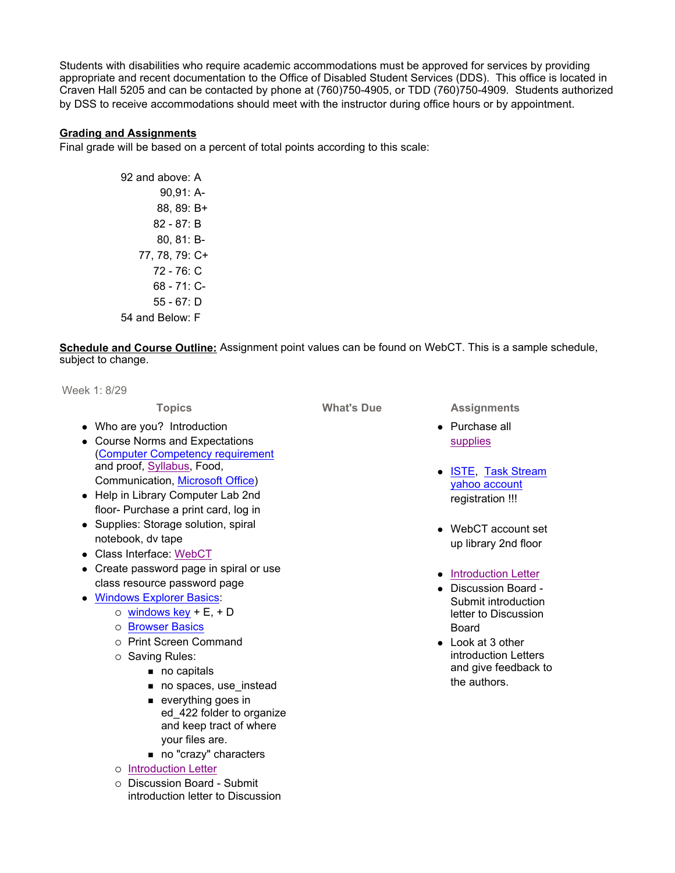Students with disabilities who require academic accommodations must be approved for services by providing appropriate and recent documentation to the Office of Disabled Student Services (DDS). This office is located in Craven Hall 5205 and can be contacted by phone at (760)750-4905, or TDD (760)750-4909. Students authorized by DSS to receive accommodations should meet with the instructor during office hours or by appointment.

#### **Grading and Assignments**

Final grade will be based on a percent of total points according to this scale:

92 and above: A 90,91: A-88, 89: B+ 82 - 87: B 80, 81: B-77, 78, 79: C+ 72 - 76: C 68 - 71: C-55 - 67: D 54 and Below: F

**Schedule and Course Outline:** Assignment point values can be found on WebCT. This is a sample schedule, subject to change.

Week 1: 8/29

• Who are you? Introduction • Course Norms and Expectations (Computer Competency requirement and proof, Syllabus, Food, Communication, Microsoft Office) • Help in Library Computer Lab 2nd floor- Purchase a print card, log in • Supplies: Storage solution, spiral notebook, dv tape • Class Interface: WebCT • Create password page in spiral or use class resource password page • Windows Explorer Basics:  $\circ$  windows key + E, + D o Browser Basics { Print Screen Command  $\circ$  Saving Rules: no capitals ■ no spaces, use\_instead **exerything goes in** • Purchase all supplies yahoo account registration !!! Board • Look at 3 other the authors.

- ed\_422 folder to organize and keep tract of where your files are.
- no "crazy" characters
- o Introduction Letter
- { Discussion Board Submit introduction letter to Discussion

**Topics What's Due Assignments**

- ISTE, Task Stream
- WebCT account set up library 2nd floor
- Introduction Letter
- Discussion Board -Submit introduction letter to Discussion
- introduction Letters and give feedback to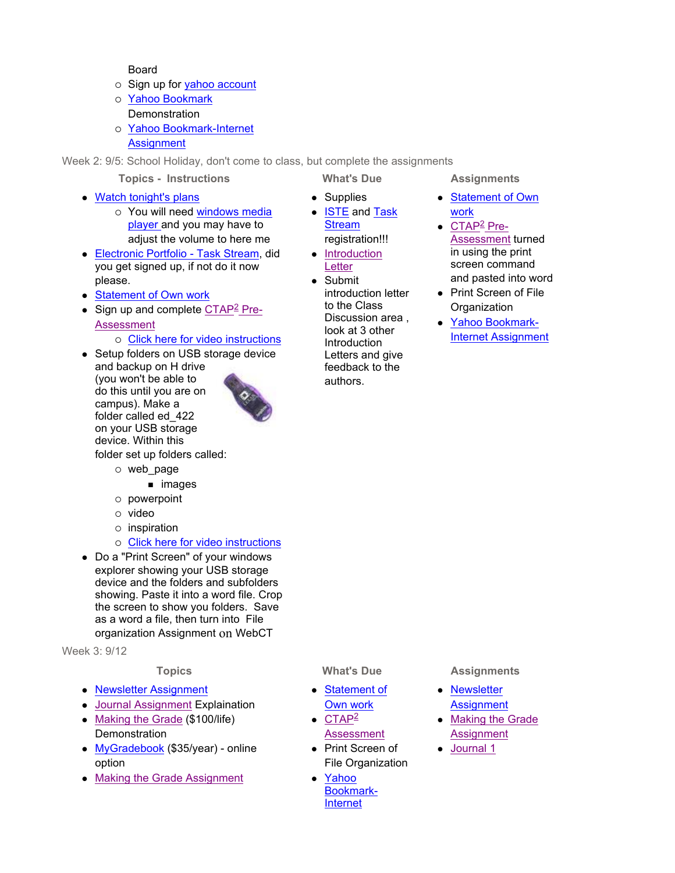Board

- o Sign up for *yahoo account*
- { Yahoo Bookmark **Demonstration**
- { Yahoo Bookmark-Internet **Assignment**

Week 2: 9/5: School Holiday, don't come to class, but complete the assignments

- **Topics Instructions What's Due Assignments**
- Watch tonight's plans
	- o You will need windows media player and you may have to adjust the volume to here me
- Electronic Portfolio Task Stream, did you get signed up, if not do it now please.
- Statement of Own work
- Sign up and complete  $CTAP^2$  Pre-Assessment

o Click here for video instructions

• Setup folders on USB storage device and backup on H drive (you won't be able to do this until you are on campus). Make a folder called ed\_422 on your USB storage device. Within this



- folder set up folders called:
	- { web\_page
		- **n** images
	- $\circ$  powerpoint
	- o video
	- $\circ$  inspiration
	- { Click here for video instructions
- Do a "Print Screen" of your windows explorer showing your USB storage device and the folders and subfolders showing. Paste it into a word file. Crop the screen to show you folders. Save as a word a file, then turn into File organization Assignment on WebCT

Week 3: 9/12

- Newsletter Assignment
- Journal Assignment Explaination
- Making the Grade (\$100/life) **Demonstration**
- MyGradebook (\$35/year) online option
- Making the Grade Assignment

- Supplies
- **ISTE and Task Stream** registration!!! • Introduction
- **Letter**
- Submit introduction letter to the Class Discussion area , look at 3 other **Introduction** Letters and give feedback to the authors.

- Statement of Own work
- $\bullet$  CTAP<sup>2</sup> Pre-Assessment turned in using the print screen command and pasted into word
- Print Screen of File **Organization**
- Yahoo Bookmark-Internet Assignment

- Statement of Own work
- $\bullet$  CTAP<sup>2</sup> **Assessment**
- Print Screen of File Organization
- Yahoo Bookmark-Internet

**Topics What's Due Assignments** 

- Newsletter **Assignment**
- Making the Grade **Assignment**
- Journal 1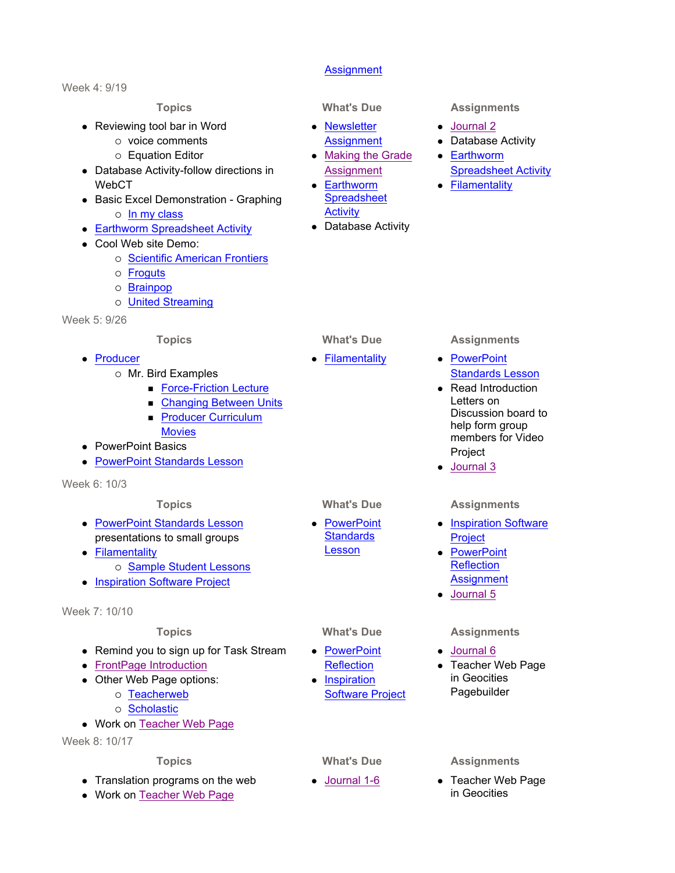Week 4: 9/19

- Reviewing tool bar in Word
	- $\circ$  voice comments
		- $\circ$  Equation Editor
- Database Activity-follow directions in **WebCT**
- Basic Excel Demonstration Graphing
	- o In my class
- Earthworm Spreadsheet Activity
- Cool Web site Demo:
	- { Scientific American Frontiers
	- o Froguts
	- $\circ$  Brainpop
	- o **United Streaming**

#### Week 5: 9/26

- Producer
	- { Mr. Bird Examples
		- **Force-Friction Lecture**
		- **Changing Between Units Producer Curriculum Movies**
- PowerPoint Basics
- PowerPoint Standards Lesson
- Week 6: 10/3

- PowerPoint Standards Lesson presentations to small groups
- Filamentality { Sample Student Lessons
- Inspiration Software Project

### Week 7: 10/10

- Remind you to sign up for Task Stream
- FrontPage Introduction
- Other Web Page options:
	- o Teacherweb
	- o Scholastic
- Work on Teacher Web Page

### Week 8: 10/17

- $\bullet$  Translation programs on the web
- Work on Teacher Web Page

### **Assignment**

- Newsletter **Assignment**
- Making the Grade **Assignment**
- Earthworm **Spreadsheet Activity**
- Database Activity

• Filamentality • PowerPoint

#### **Topics What's Due Assignments**

- Journal 2
- Database Activity
- Earthworm Spreadsheet Activity
- Filamentality

### **Topics Community Community Community Community Community Community Community Community Community Community Community Community Community Community Community Community Community Community Community Community Community Comm**

# Standards Lesson

- Read Introduction Letters on Discussion board to help form group members for Video Project
- Journal 3

### **Topics Community Community Community Community Community Community Community Community Community Community Community Community Community Community Community Community Community Community Community Community Community Comm**

- Inspiration Software Project
- PowerPoint **Reflection Assignment**
- Journal 5

### **Topics What's Due Assignments**

- Journal 6
- Teacher Web Page in Geocities Pagebuilder

Software Project

#### **Topics Community Community Community Community Community Community Community Community Community Community Community Community Community Community Community Community Community Community Community Community Community Comm**

• Journal 1-6 **• Teacher Web Page** in Geocities

• PowerPoint **Standards** Lesson

- 
- 
- 

• PowerPoint **Reflection** • Inspiration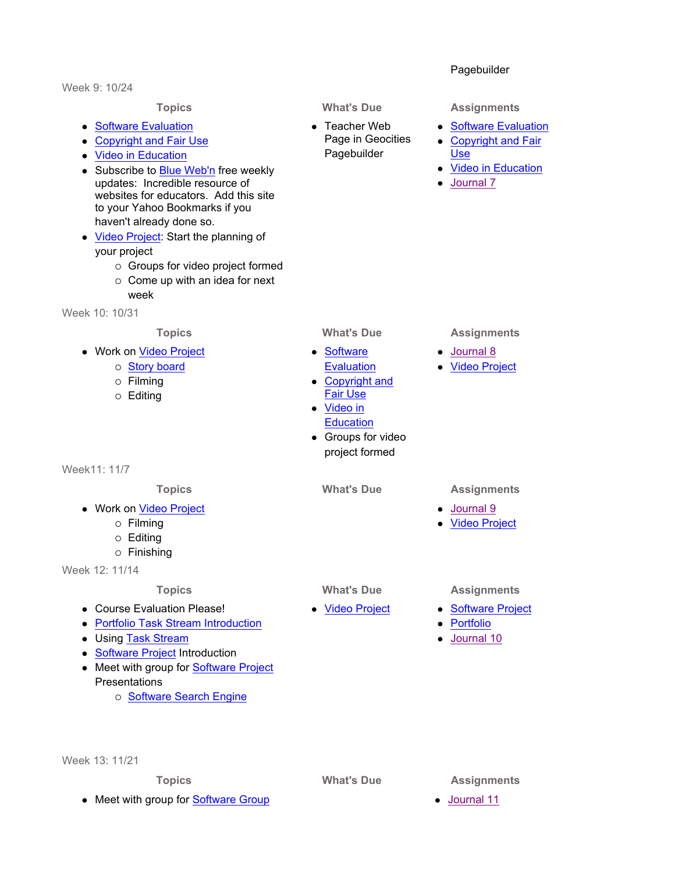Week 9: 10/24 **Topics What's Due Assignments** • Software Evaluation • Copyright and Fair Use • Video in Education • Subscribe to Blue Web'n free weekly updates: Incredible resource of websites for educators. Add this site to your Yahoo Bookmarks if you haven't already done so. • Video Project: Start the planning of your project { Groups for video project formed  $\circ$  Come up with an idea for next week  $\bullet$  Teacher Web Page in Geocities Pagebuilder • Software Evaluation • Copyright and Fair Use • Video in Education • Journal 7 Week 10: 10/31 **Topics What's Due Assignments** • Work on Video Project o Story board { Filming { Editing • Software **Evaluation** • Copyright and Fair Use • Video in **Education** • Groups for video project formed • Journal 8 • Video Project Week11: 11/7 **Topics Community Community Community Community Community Community Community Community Community Community Community Community Community Community Community Community Community Community Community Community Community Comm** • Work on Video Project { Filming  $\circ$  Editing  $\circ$  Finishing • Journal 9 • Video Project Week 12: 11/14 **Topics Community Community Community Community Community Community Community Community Community Community Community Community Community Community Community Community Community Community Community Community Community Comm** • Course Evaluation Please! • Portfolio Task Stream Introduction • Using Task Stream • Software Project Introduction • Meet with group for **Software Project Presentations** o Software Search Engine • Video Project • Software Project • Portfolio • Journal 10

Week 13: 11/21

**Topics Community Community Community Community Community Community Community Community Community Community Community Community Community Community Community Community Community Community Community Community Community Comm** 

Pagebuilder